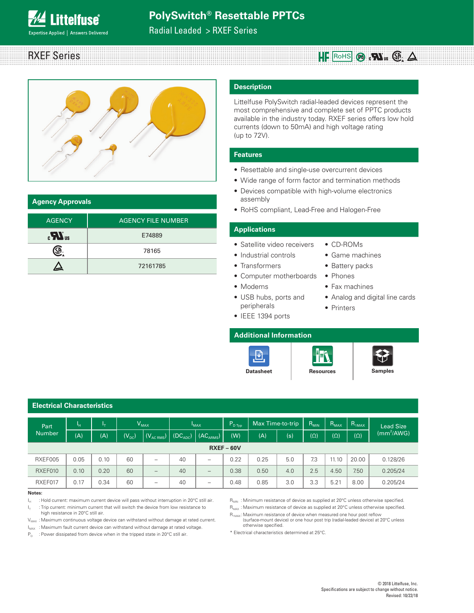RXEF Series **Alternative Contract Contract Contract Contract Contract Contract Contract Contract Contract Contract Contract Contract Contract Contract Contract Contract Contract Contract Contract Contract Contract Contract** 

Radial Leaded > RXEF Series



#### **Agency Approvals**

**Littelfuse**® xpertise Applied | Answers Delivered

| <b>AGENCY</b>                           | <b>AGENCY FILE NUMBER</b> |
|-----------------------------------------|---------------------------|
| $\mathbf{c}$ $\mathbf{W}$ <sub>us</sub> | E74889                    |
|                                         | 78165                     |
|                                         | 72161785                  |

#### **Description**

Littelfuse PolySwitch radial-leaded devices represent the most comprehensive and complete set of PPTC products available in the industry today. RXEF series offers low hold currents (down to 50mA) and high voltage rating (up to 72V).

#### **Features**

- Resettable and single-use overcurrent devices
- Wide range of form factor and termination methods

• CD-ROMs • Game machines • Battery packs

• Fax machines

• Printers

- Devices compatible with high-volume electronics assembly
- RoHS compliant, Lead-Free and Halogen-Free

### **Applications**

- Satellite video receivers
- Industrial controls
- Transformers
- Computer motherboards Phones
- Modems
- USB hubs, ports and peripherals
- IEEE 1394 ports

# **Additional Information**







• Analog and digital line cards



| <b>Electrical Characteristics</b> |      |      |            |                               |                      |                          |                      |                  |     |            |            |            |                         |
|-----------------------------------|------|------|------------|-------------------------------|----------------------|--------------------------|----------------------|------------------|-----|------------|------------|------------|-------------------------|
| Part                              | ١н   | Ιт,  |            | $V_{MAX}$                     |                      | $I_{MAX}$                | $P_{D \text{ Type}}$ | Max Time-to-trip |     | $R_{MIN}$  | $R_{MAX}$  | $R_{1MAX}$ | <b>Lead Size</b>        |
| <b>Number</b>                     | (A)  | (A)  | $(V_{DC})$ | $\mid$ (V <sub>AC RMS</sub> ) | (DC <sub>ADC</sub> ) | (AC <sub>ARMS</sub> )    | (W)                  | (A)              | (s) | $(\Omega)$ | $(\Omega)$ | $(\Omega)$ | $\text{m}^2/\text{AWG}$ |
|                                   |      |      |            |                               |                      |                          | $RXEF - 60V$         |                  |     |            |            |            |                         |
| RXEF005                           | 0.05 | 0.10 | 60         | -                             | 40                   | -                        | 0.22                 | 0.25             | 5.0 | 7.3        | 11.10      | 20.00      | 0.128/26                |
| RXEF010                           | 0.10 | 0.20 | 60         | $\overline{\phantom{m}}$      | 40                   | $\qquad \qquad -$        | 0.38                 | 0.50             | 4.0 | 2.5        | 4.50       | 7.50       | 0.205/24                |
| RXEF017                           | 0.17 | 0.34 | 60         | $\qquad \qquad \blacksquare$  | 40                   | $\overline{\phantom{0}}$ | 0.48                 | 0.85             | 3.0 | 3.3        | 5.21       | 8.00       | 0.205/24                |

#### **Notes:**

 $I_H$  : Hold current: maximum current device will pass without interruption in 20°C still air.

 $I<sub>T</sub>$  : Trip current: minimum current that will switch the device from low resistance to high resistance in 20°C still air.

 $V_{\text{MAX}}$  : Maximum continuous voltage device can withstand without damage at rated current.

I<sub>MAX</sub> : Maximum fault current device can withstand without damage at rated voltage.

 $P_D$  : Power dissipated from device when in the tripped state in 20°C still air.

 $R_{MIN}$ : Minimum resistance of device as supplied at 20°C unless otherwise specified.  $R_{MAX}$ : Maximum resistance of device as supplied at 20°C unless otherwise specified.

 $R_{1MAX}$ : Maximum resistance of device when measured one hour post reflow (surface-mount device) or one hour post trip (radial-leaded device) at 20°C unless otherwise specified.

\* Electrical characteristics determined at 25°C.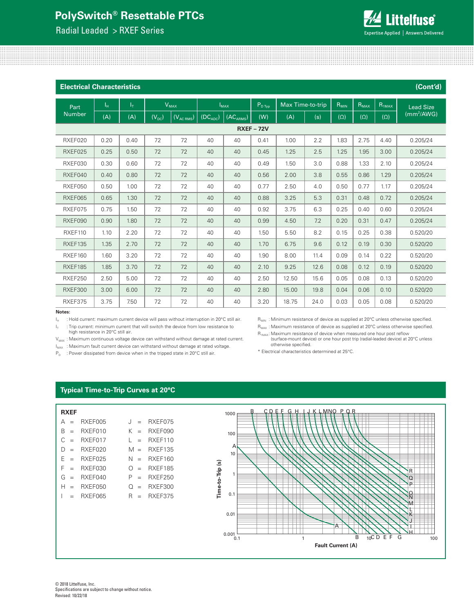Radial Leaded > RXEF Series



| <b>Electrical Characteristics</b> |             |       |            |                |                      |                       |                 |       |                  |            |            |            | (Cont'd)               |
|-----------------------------------|-------------|-------|------------|----------------|----------------------|-----------------------|-----------------|-------|------------------|------------|------------|------------|------------------------|
| <b>Part</b>                       | $I_{\rm H}$ | $I_T$ |            | $V_{MAX}$      |                      | $I_{MAX}$             | $P_{D \; Type}$ |       | Max Time-to-trip | $R_{MIN}$  | $R_{MAX}$  | $R_{1MAX}$ | <b>Lead Size</b>       |
| <b>Number</b>                     | (A)         | (A)   | $(V_{DC})$ | $(V_{AC RMS})$ | (DC <sub>ADC</sub> ) | (AC <sub>ARMS</sub> ) | (W)             | (A)   | (s)              | $(\Omega)$ | $(\Omega)$ | $(\Omega)$ | (mm <sup>2</sup> /AWG) |
|                                   |             |       |            |                |                      |                       | <b>RXEF-72V</b> |       |                  |            |            |            |                        |
| RXEF020                           | 0.20        | 0.40  | 72         | 72             | 40                   | 40                    | 0.41            | 1.00  | 2.2              | 1.83       | 2.75       | 4.40       | 0.205/24               |
| RXEF025                           | 0.25        | 0.50  | 72         | 72             | 40                   | 40                    | 0.45            | 1.25  | 2.5              | 1.25       | 1.95       | 3.00       | 0.205/24               |
| RXEF030                           | 0.30        | 0.60  | 72         | 72             | 40                   | 40                    | 0.49            | 1.50  | 3.0              | 0.88       | 1.33       | 2.10       | 0.205/24               |
| RXEF040                           | 0.40        | 0.80  | 72         | 72             | 40                   | 40                    | 0.56            | 2.00  | 3.8              | 0.55       | 0.86       | 1.29       | 0.205/24               |
| RXEF050                           | 0.50        | 1.00  | 72         | 72             | 40                   | 40                    | 0.77            | 2.50  | 4.0              | 0.50       | 0.77       | 1.17       | 0.205/24               |
| RXEF065                           | 0.65        | 1.30  | 72         | 72             | 40                   | 40                    | 0.88            | 3.25  | 5.3              | 0.31       | 0.48       | 0.72       | 0.205/24               |
| RXEF075                           | 0.75        | 1.50  | 72         | 72             | 40                   | 40                    | 0.92            | 3.75  | 6.3              | 0.25       | 0.40       | 0.60       | 0.205/24               |
| RXEF090                           | 0.90        | 1.80  | 72         | 72             | 40                   | 40                    | 0.99            | 4.50  | 7.2              | 0.20       | 0.31       | 0.47       | 0.205/24               |
| RXEF110                           | 1.10        | 2.20  | 72         | 72             | 40                   | 40                    | 1.50            | 5.50  | 8.2              | 0.15       | 0.25       | 0.38       | 0.520/20               |
| RXEF135                           | 1.35        | 2.70  | 72         | 72             | 40                   | 40                    | 1.70            | 6.75  | 9.6              | 0.12       | 0.19       | 0.30       | 0.520/20               |
| RXEF160                           | 1.60        | 3.20  | 72         | 72             | 40                   | 40                    | 1.90            | 8.00  | 11.4             | 0.09       | 0.14       | 0.22       | 0.520/20               |
| <b>RXEF185</b>                    | 1.85        | 3.70  | 72         | 72             | 40                   | 40                    | 2.10            | 9.25  | 12.6             | 0.08       | 0.12       | 0.19       | 0.520/20               |
| <b>RXEF250</b>                    | 2.50        | 5.00  | 72         | 72             | 40                   | 40                    | 2.50            | 12.50 | 15.6             | 0.05       | 0.08       | 0.13       | 0.520/20               |
| <b>RXEF300</b>                    | 3.00        | 6.00  | 72         | 72             | 40                   | 40                    | 2.80            | 15.00 | 19.8             | 0.04       | 0.06       | 0.10       | 0.520/20               |
| RXEF375                           | 3.75        | 7.50  | 72         | 72             | 40                   | 40                    | 3.20            | 18.75 | 24.0             | 0.03       | 0.05       | 0.08       | 0.520/20               |

#### **Notes:**

 $I_H$  : Hold current: maximum current device will pass without interruption in 20°C still air.

 $I_{T}$  : Trip current: minimum current that will switch the device from low resistance to

 $R_{MIN}$  : Minimum resistance of device as supplied at 20°C unless otherwise specified.

high resistance in 20°C still air.

 $V_{MAX}$ : Maximum continuous voltage device can withstand without damage at rated current.

 $I_{\text{MAX}}$ : Maximum fault current device can withstand without damage at rated voltage.

 $P_D$  : Power dissipated from device when in the tripped state in 20°C still air.

 $R_{MAX}$ : Maximum resistance of device as supplied at 20°C unless otherwise specified.  $R_{1MAX}$ : Maximum resistance of device when measured one hour post reflow

(surface-mount device) or one hour post trip (radial-leaded device) at 20°C unless otherwise specified.

\* Electrical characteristics determined at 25°C.

#### **Typical Time-to-Trip Curves at 20°C**

| <b>RXEF</b>            |         |     |                |
|------------------------|---------|-----|----------------|
| А<br>$\qquad \qquad -$ | RXFF005 | . I | RXEF075        |
| B                      | RXFF010 | K.  | RXFF090        |
| C                      | RXFF017 | L   | RXFF110        |
| D                      | RXFF020 | M   | <b>RXFF135</b> |
| F                      | RXFF025 | N.  | RXFF160        |
| F<br>$\qquad \qquad -$ | RXFF030 | ∩   | <b>RXFF185</b> |
| G                      | RXFF040 | Ρ   | <b>RXFF250</b> |
| н                      | RXFF050 | Ω   | RXFF300        |
|                        | RXFF065 | R   | <b>RXFF375</b> |
|                        |         |     |                |
|                        |         |     |                |
|                        |         |     |                |

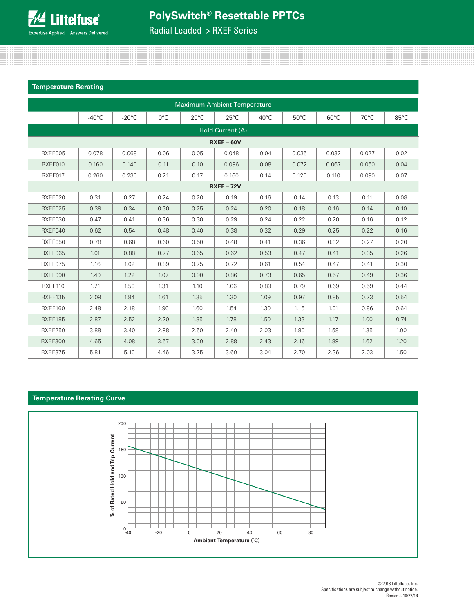

Radial Leaded > RXEF Series

#### **Temperature Rerating**

|                |                 |                 |               |                | <b>Maximum Ambient Temperature</b> |                |                |                |                |      |
|----------------|-----------------|-----------------|---------------|----------------|------------------------------------|----------------|----------------|----------------|----------------|------|
|                | $-40^{\circ}$ C | $-20^{\circ}$ C | $0^{\circ}$ C | $20^{\circ}$ C | $25^{\circ}$ C                     | $40^{\circ}$ C | $50^{\circ}$ C | $60^{\circ}$ C | $70^{\circ}$ C | 85°C |
|                |                 |                 |               |                | Hold Current (A)                   |                |                |                |                |      |
|                |                 |                 |               |                | $RXEF - 60V$                       |                |                |                |                |      |
| RXEF005        | 0.078           | 0.068           | 0.06          | 0.05           | 0.048                              | 0.04           | 0.035          | 0.032          | 0.027          | 0.02 |
| RXEF010        | 0.160           | 0.140           | 0.11          | 0.10           | 0.096                              | 0.08           | 0.072          | 0.067          | 0.050          | 0.04 |
| RXEF017        | 0.260           | 0.230           | 0.21          | 0.17           | 0.160                              | 0.14           | 0.120          | 0.110          | 0.090          | 0.07 |
|                |                 |                 |               |                | <b>RXEF - 72V</b>                  |                |                |                |                |      |
| RXEF020        | 0.31            | 0.27            | 0.24          | 0.20           | 0.19                               | 0.16           | 0.14           | 0.13           | 0.11           | 0.08 |
| RXEF025        | 0.39            | 0.34            | 0.30          | 0.25           | 0.24                               | 0.20           | 0.18           | 0.16           | 0.14           | 0.10 |
| RXEF030        | 0.47            | 0.41            | 0.36          | 0.30           | 0.29                               | 0.24           | 0.22           | 0.20           | 0.16           | 0.12 |
| RXEF040        | 0.62            | 0.54            | 0.48          | 0.40           | 0.38                               | 0.32           | 0.29           | 0.25           | 0.22           | 0.16 |
| RXEF050        | 0.78            | 0.68            | 0.60          | 0.50           | 0.48                               | 0.41           | 0.36           | 0.32           | 0.27           | 0.20 |
| RXEF065        | 1.01            | 0.88            | 0.77          | 0.65           | 0.62                               | 0.53           | 0.47           | 0.41           | 0.35           | 0.26 |
| RXEF075        | 1.16            | 1.02            | 0.89          | 0.75           | 0.72                               | 0.61           | 0.54           | 0.47           | 0.41           | 0.30 |
| RXEF090        | 1.40            | 1.22            | 1.07          | 0.90           | 0.86                               | 0.73           | 0.65           | 0.57           | 0.49           | 0.36 |
| RXEF110        | 1.71            | 1.50            | 1.31          | 1.10           | 1.06                               | 0.89           | 0.79           | 0.69           | 0.59           | 0.44 |
| RXEF135        | 2.09            | 1.84            | 1.61          | 1.35           | 1.30                               | 1.09           | 0.97           | 0.85           | 0.73           | 0.54 |
| RXEF160        | 2.48            | 2.18            | 1.90          | 1.60           | 1.54                               | 1.30           | 1.15           | 1.01           | 0.86           | 0.64 |
| RXEF185        | 2.87            | 2.52            | 2.20          | 1.85           | 1.78                               | 1.50           | 1.33           | 1.17           | 1.00           | 0.74 |
| RXEF250        | 3.88            | 3.40            | 2.98          | 2.50           | 2.40                               | 2.03           | 1.80           | 1.58           | 1.35           | 1.00 |
| <b>RXEF300</b> | 4.65            | 4.08            | 3.57          | 3.00           | 2.88                               | 2.43           | 2.16           | 1.89           | 1.62           | 1.20 |
| RXEF375        | 5.81            | 5.10            | 4.46          | 3.75           | 3.60                               | 3.04           | 2.70           | 2.36           | 2.03           | 1.50 |

### **Temperature Rerating Curve**

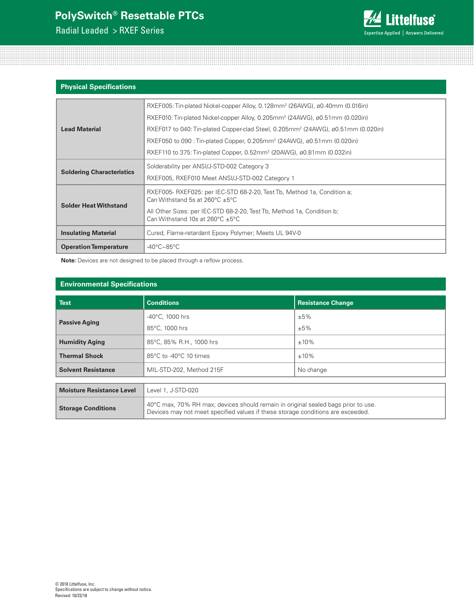Radial Leaded > RXEF Series



#### **Physical Specifications**

|                                  | RXEF005: Tin-plated Nickel-copper Alloy, 0.128mm <sup>2</sup> (26AWG), ø0.40mm (0.016in)                                             |
|----------------------------------|--------------------------------------------------------------------------------------------------------------------------------------|
|                                  | RXEF010: Tin-plated Nickel-copper Alloy, 0.205mm <sup>2</sup> (24AWG), $\omega$ 0.51mm (0.020in)                                     |
| <b>Lead Material</b>             | RXEF017 to 040: Tin-plated Copper-clad Steel, 0.205mm <sup>2</sup> (24AWG), ø0.51mm (0.020in)                                        |
|                                  | RXEF050 to 090 : Tin-plated Copper, 0.205mm <sup>2</sup> (24AWG), $\omega$ 0.51mm (0.020in)                                          |
|                                  | RXEF110 to 375: Tin-plated Copper, 0.52mm <sup>2</sup> (20AWG), $\omega$ 0.81mm (0.032in)                                            |
|                                  | Solderability per ANSI/J-STD-002 Category 3                                                                                          |
| <b>Soldering Characteristics</b> | RXEF005, RXEF010 Meet ANSI/J-STD-002 Category 1                                                                                      |
|                                  | RXEF005-RXEF025: per IEC-STD 68-2-20, Test Tb, Method 1a, Condition a;<br>Can Withstand 5s at 260 $^{\circ}$ C $\pm$ 5 $^{\circ}$ C  |
| <b>Solder Heat Withstand</b>     | All Other Sizes: per IEC-STD 68-2-20, Test Tb, Method 1a, Condition b;<br>Can Withstand 10s at 260 $^{\circ}$ C $\pm$ 5 $^{\circ}$ C |
| <b>Insulating Material</b>       | Cured, Flame-retardant Epoxy Polymer; Meets UL 94V-0                                                                                 |
| <b>Operation Temperature</b>     | $-40^{\circ}$ C $\sim$ 85°C                                                                                                          |

**Note:** Devices are not designed to be placed through a reflow process.

#### **Environmental Specifications**

| <b>Test</b>                      | <b>Conditions</b>                           | <b>Resistance Change</b> |
|----------------------------------|---------------------------------------------|--------------------------|
|                                  | $-40^{\circ}$ C, 1000 hrs                   | ±5%                      |
| <b>Passive Aging</b>             | 85°C, 1000 hrs                              | ±5%                      |
| <b>Humidity Aging</b>            | 85°C, 85% R.H., 1000 hrs                    | $±10\%$                  |
| <b>Thermal Shock</b>             | $85^{\circ}$ C to -40 $^{\circ}$ C 10 times | $±10\%$                  |
| <b>Solvent Resistance</b>        | MIL-STD-202, Method 215F                    | No change                |
|                                  |                                             |                          |
| <b>Moisture Resistance Level</b> | Level 1, J-STD-020                          |                          |

Devices may not meet specified values if these storage conditions are exceeded.

**Storage Conditions** 40°C max, 70% RH max; devices should remain in original sealed bags prior to use.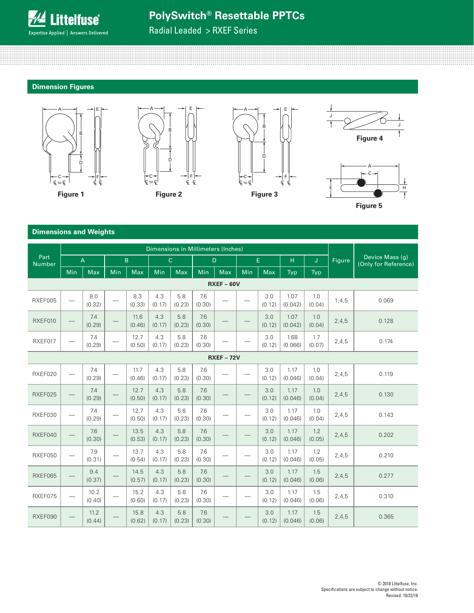

#### **PolySwitch® Resettable PPTCs** B B B B **desettable**

C

Radial Leaded > RXEF Series

C

C

C

#### **Dimension Figures**

C

C







C

C



D

<u>c to Calendario de C</u>

 $\mathbb{R}^2$ 



#### **Dimensions and Weights**

|                       |                          |                |                          |                |               |               | Dimensions in Millimeters (Inches) |                 |     |               |                 |               |        |                                         |
|-----------------------|--------------------------|----------------|--------------------------|----------------|---------------|---------------|------------------------------------|-----------------|-----|---------------|-----------------|---------------|--------|-----------------------------------------|
| Part<br><b>Number</b> |                          | $\overline{A}$ |                          | B              |               | $\mathbf{C}$  |                                    | D.              |     | E.            | H               | J.            | Figure | Device Mass (g)<br>(Only for Reference) |
|                       | Min                      | Max            | Min                      | Max            | Min           | Max           | <b>Min</b>                         | <b>Max</b>      | Min | <b>Max</b>    | Typ             | Typ           |        |                                         |
|                       |                          |                |                          |                |               |               |                                    | $RXEF - 60V$    |     |               |                 |               |        |                                         |
| RXEF005               | $\overline{\phantom{0}}$ | 8.0<br>(0.32)  |                          | 8.3<br>(0.33)  | 4.3<br>(0.17) | 5.8<br>(0.23) | 7.6<br>(0.30)                      |                 |     | 3.0<br>(0.12) | 1.07<br>(0.042) | 1.0<br>(0.04) | 1,4,5  | 0.069                                   |
| RXEF010               |                          | 7.4<br>(0.29)  |                          | 11.6<br>(0.46) | 4.3<br>(0.17) | 5.8<br>(0.23) | 7.6<br>(0.30)                      |                 |     | 3.0<br>(0.12) | 1.07<br>(0.042) | 1.0<br>(0.04) | 2,4,5  | 0.128                                   |
| RXEF017               | $\overline{\phantom{0}}$ | 7.4<br>(0.29)  | $\overline{\phantom{a}}$ | 12.7<br>(0.50) | 4.3<br>(0.17) | 5.8<br>(0.23) | 7.6<br>(0.30)                      |                 |     | 3.0<br>(0.12) | 1.68<br>(0.066) | 1.7<br>(0.07) | 2,4,5  | 0.174                                   |
|                       |                          |                |                          |                |               |               |                                    | <b>RXEF-72V</b> |     |               |                 |               |        |                                         |
| RXEF020               | $\overline{\phantom{0}}$ | 7.4<br>(0.29)  |                          | 11.7<br>(0.46) | 4.3<br>(0.17) | 5.8<br>(0.23) | 7.6<br>(0.30)                      |                 |     | 3.0<br>(0.12) | 1.17<br>(0.046) | 1.0<br>(0.04) | 2,4,5  | 0.119                                   |
| RXEF025               | $\overline{\phantom{0}}$ | 7.4<br>(0.29)  |                          | 12.7<br>(0.50) | 4.3<br>(0.17) | 5.8<br>(0.23) | 7.6<br>(0.30)                      |                 |     | 3.0<br>(0.12) | 1.17<br>(0.046) | 1.0<br>(0.04) | 2,4,5  | 0.130                                   |
| RXEF030               | $\qquad \qquad -$        | 7.4<br>(0.29)  |                          | 12.7<br>(0.50) | 4.3<br>(0.17) | 5.8<br>(0.23) | 7.6<br>(0.30)                      |                 |     | 3.0<br>(0.12) | 1.17<br>(0.046) | 1.0<br>(0.04) | 2,4,5  | 0.143                                   |
| RXEF040               | $\overline{\phantom{0}}$ | 7.6<br>(0.30)  |                          | 13.5<br>(0.53) | 4.3<br>(0.17) | 5.8<br>(0.23) | 7.6<br>(0.30)                      |                 |     | 3.0<br>(0.12) | 1.17<br>(0.046) | 1.2<br>(0.05) | 2,4,5  | 0.202                                   |
| RXEF050               | $\overline{\phantom{0}}$ | 7.9<br>(0.31)  |                          | 13.7<br>(0.54) | 4.3<br>(0.17) | 5.8<br>(0.23) | 7.6<br>(0.30)                      |                 |     | 3.0<br>(0.12) | 1.17<br>(0.046) | 1.2<br>(0.05) | 2,4,5  | 0.210                                   |
| RXEF065               |                          | 9.4<br>(0.37)  |                          | 14.5<br>(0.57) | 4.3<br>(0.17) | 5.8<br>(0.23) | 7.6<br>(0.30)                      |                 |     | 3.0<br>(0.12) | 1.17<br>(0.046) | 1.5<br>(0.06) | 2,4,5  | 0.277                                   |
| RXEF075               | $\overline{\phantom{0}}$ | 10.2<br>(0.40) |                          | 15.2<br>(0.60) | 4.3<br>(0.17) | 5.8<br>(0.23) | 7.6<br>(0.30)                      |                 |     | 3.0<br>(0.12) | 1.17<br>(0.046) | 1.5<br>(0.06) | 2,4,5  | 0.310                                   |
| RXEF090               |                          | 11.2<br>(0.44) |                          | 15.8<br>(0.62) | 4.3<br>(0.17) | 5.8<br>(0.23) | 7.6<br>(0.30)                      |                 |     | 3.0<br>(0.12) | 1.17<br>(0.046) | 1.5<br>(0.06) | 2,4,5  | 0.365                                   |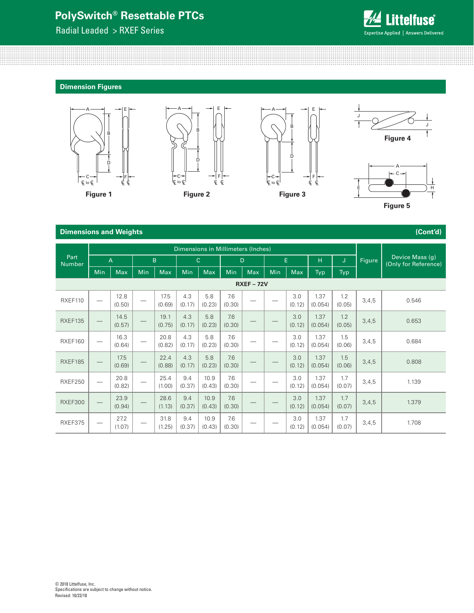C

Radial Leaded > RXEF Series



D

C to L CL CL CL CL CL CL CL CL CL

**Dimension Figures**

C

D

C

C





C

C



C

C

C





#### **Dimensions and Weights (Cont'd)**

|                       |                   |                |                                 |                |               |                | Dimensions in Millimeters (Inches) |                          |     |               |                 |               |        |                                         |
|-----------------------|-------------------|----------------|---------------------------------|----------------|---------------|----------------|------------------------------------|--------------------------|-----|---------------|-----------------|---------------|--------|-----------------------------------------|
| Part<br><b>Number</b> |                   | A              |                                 | B              |               | $\mathsf{C}$   | D                                  |                          |     | E             | H.              | J             | Figure | Device Mass (g)<br>(Only for Reference) |
|                       | Min               | <b>Max</b>     | Min                             | Max            | Min           | Max            | Min                                | <b>Max</b>               | Min | <b>Max</b>    | Typ             | Typ           |        |                                         |
|                       | <b>RXEF - 72V</b> |                |                                 |                |               |                |                                    |                          |     |               |                 |               |        |                                         |
| RXEF110               |                   | 12.8<br>(0.50) |                                 | 17.5<br>(0.69) | 4.3<br>(0.17) | 5.8<br>(0.23)  | 7.6<br>(0.30)                      |                          |     | 3.0<br>(0.12) | 1.37<br>(0.054) | 1.2<br>(0.05) | 3,4,5  | 0.546                                   |
| <b>RXEF135</b>        | $\hspace{0.05cm}$ | 14.5<br>(0.57) |                                 | 19.1<br>(0.75) | 4.3<br>(0.17) | 5.8<br>(0.23)  | 7.6<br>(0.30)                      |                          |     | 3.0<br>(0.12) | 1.37<br>(0.054) | 1.2<br>(0.05) | 3,4,5  | 0.653                                   |
| RXEF160               |                   | 16.3<br>(0.64) | —                               | 20.8<br>(0.82) | 4.3<br>(0.17) | 5.8<br>(0.23)  | 7.6<br>(0.30)                      | $\overline{\phantom{0}}$ |     | 3.0<br>(0.12) | 1.37<br>(0.054) | 1.5<br>(0.06) | 3,4,5  | 0.684                                   |
| RXEF185               |                   | 17.5<br>(0.69) | $\hspace{0.1mm}-\hspace{0.1mm}$ | 22.4<br>(0.88) | 4.3<br>(0.17) | 5.8<br>(0.23)  | 7.6<br>(0.30)                      |                          |     | 3.0<br>(0.12) | 1.37<br>(0.054) | 1.5<br>(0.06) | 3,4,5  | 0.808                                   |
| <b>RXEF250</b>        |                   | 20.8<br>(0.82) | $\overbrace{\qquad \qquad }^{}$ | 25.4<br>(1.00) | 9.4<br>(0.37) | 10.9<br>(0.43) | 7.6<br>(0.30)                      |                          |     | 3.0<br>(0.12) | 1.37<br>(0.054) | 1.7<br>(0.07) | 3,4,5  | 1.139                                   |
| <b>RXEF300</b>        |                   | 23.9<br>(0.94) |                                 | 28.6<br>(1.13) | 9.4<br>(0.37) | 10.9<br>(0.43) | 7.6<br>(0.30)                      |                          |     | 3.0<br>(0.12) | 1.37<br>(0.054) | 1.7<br>(0.07) | 3,4,5  | 1.379                                   |
| RXEF375               |                   | 27.2<br>(1.07) |                                 | 31.8<br>(1.25) | 9.4<br>(0.37) | 10.9<br>(0.43) | 7.6<br>(0.30)                      |                          |     | 3.0<br>(0.12) | 1.37<br>(0.054) | 1.7<br>(0.07) | 3,4,5  | 1.708                                   |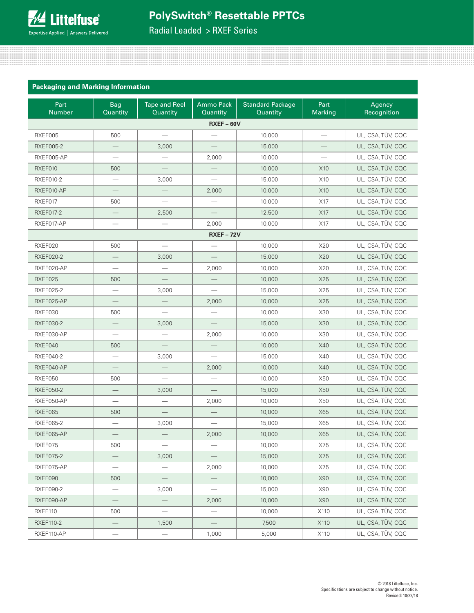

Radial Leaded > RXEF Series

| <b>Packaging and Marking Information</b> |  |  |
|------------------------------------------|--|--|
|                                          |  |  |

| Part<br>Number   | <b>Bag</b><br>Quantity   | <b>Tape and Reel</b><br>Quantity | <b>Ammo Pack</b><br>Quantity | <b>Standard Package</b><br>Quantity | Part<br><b>Marking</b>   | Agency<br>Recognition |
|------------------|--------------------------|----------------------------------|------------------------------|-------------------------------------|--------------------------|-----------------------|
|                  |                          |                                  | $RXEF - 60V$                 |                                     |                          |                       |
| RXEF005          | 500                      | $\overline{\phantom{0}}$         |                              | 10,000                              | $\overline{\phantom{0}}$ | UL, CSA, TÜV, CQC     |
| <b>RXEF005-2</b> |                          | 3,000                            |                              | 15,000                              |                          | UL, CSA, TÜV, CQC     |
| RXEF005-AP       |                          | —                                | 2,000                        | 10,000                              |                          | UL, CSA, TÜV, CQC     |
| RXEF010          | 500                      |                                  |                              | 10,000                              | X10                      | UL, CSA, TÜV, CQC     |
| <b>RXEF010-2</b> | $\overline{\phantom{m}}$ | 3,000                            |                              | 15,000                              | X10                      | UL, CSA, TÜV, CQC     |
| RXEF010-AP       | $\overline{\phantom{0}}$ | $\overline{\phantom{0}}$         | 2,000                        | 10,000                              | X10                      | UL, CSA, TÜV, CQC     |
| RXEF017          | 500                      |                                  |                              | 10,000                              | X17                      | UL, CSA, TÜV, CQC     |
| <b>RXEF017-2</b> |                          | 2,500                            |                              | 12,500                              | X17                      | UL, CSA, TÜV, CQC     |
| RXEF017-AP       |                          |                                  | 2,000                        | 10,000                              | X17                      | UL, CSA, TÜV, CQC     |
|                  |                          |                                  | <b>RXEF - 72V</b>            |                                     |                          |                       |
| RXEF020          | 500                      |                                  |                              | 10,000                              | X20                      | UL, CSA, TÜV, CQC     |
| <b>RXEF020-2</b> |                          | 3,000                            |                              | 15,000                              | X20                      | UL, CSA, TÜV, CQC     |
| RXEF020-AP       |                          |                                  | 2,000                        | 10,000                              | X20                      | UL, CSA, TÜV, CQC     |
| RXEF025          | 500                      |                                  |                              | 10,000                              | X25                      | UL, CSA, TÜV, CQC     |
| RXEF025-2        |                          | 3,000                            |                              | 15,000                              | X25                      | UL, CSA, TÜV, CQC     |
| RXEF025-AP       |                          |                                  | 2,000                        | 10,000                              | X25                      | UL, CSA, TÜV, CQC     |
| RXEF030          | 500                      |                                  |                              | 10,000                              | X30                      | UL, CSA, TÜV, CQC     |
| RXEF030-2        |                          | 3,000                            |                              | 15,000                              | X30                      | UL, CSA, TÜV, CQC     |
| RXEF030-AP       | $\overline{\phantom{m}}$ |                                  | 2,000                        | 10,000                              | X30                      | UL, CSA, TÜV, CQC     |
| RXEF040          | 500                      |                                  |                              | 10,000                              | X40                      | UL, CSA, TÜV, CQC     |
| <b>RXEF040-2</b> | $\overline{\phantom{0}}$ | 3,000                            | $\overline{\phantom{m}}$     | 15,000                              | X40                      | UL, CSA, TÜV, CQC     |
| RXEF040-AP       |                          |                                  | 2,000                        | 10,000                              | X40                      | UL, CSA, TÜV, CQC     |
| RXEF050          | 500                      |                                  |                              | 10,000                              | X50                      | UL, CSA, TÜV, CQC     |
| <b>RXEF050-2</b> | $\qquad \qquad -$        | 3,000                            |                              | 15,000                              | X50                      | UL, CSA, TÜV, CQC     |
| RXEF050-AP       |                          |                                  | 2,000                        | 10,000                              | X50                      | UL, CSA, TÜV, CQC     |
| RXEF065          | 500                      |                                  | $\overline{\phantom{0}}$     | 10,000                              | X65                      | UL, CSA, TÜV, CQC     |
| <b>RXEF065-2</b> |                          | 3,000                            |                              | 15,000                              | X65                      | UL, CSA, TÜV, CQC     |
| RXEF065-AP       |                          |                                  | 2,000                        | 10,000                              | X65                      | UL, CSA, TÜV, CQC     |
| RXEF075          | 500                      | $\qquad \qquad -$                | $\overline{\phantom{0}}$     | 10,000                              | X75                      | UL, CSA, TÜV, CQC     |
| <b>RXEF075-2</b> |                          | 3,000                            |                              | 15,000                              | X75                      | UL, CSA, TÜV, CQC     |
| RXEF075-AP       |                          |                                  | 2,000                        | 10,000                              | X75                      | UL, CSA, TÜV, CQC     |
| RXEF090          | 500                      |                                  | $\qquad \qquad -$            | 10,000                              | X90                      | UL, CSA, TÜV, CQC     |
| RXEF090-2        | $\overline{\phantom{0}}$ | 3,000                            |                              | 15,000                              | X90                      | UL, CSA, TÜV, CQC     |
| RXEF090-AP       | $\overline{\phantom{0}}$ | $\overline{\phantom{0}}$         | 2,000                        | 10,000                              | X90                      | UL, CSA, TÜV, CQC     |
| RXEF110          | 500                      | $\overline{\phantom{0}}$         |                              | 10,000                              | X110                     | UL, CSA, TÜV, CQC     |
| <b>RXEF110-2</b> |                          | 1,500                            |                              | 7,500                               | X110                     | UL, CSA, TÜV, CQC     |
| RXEF110-AP       |                          | $\overbrace{\phantom{123331}}$   | 1,000                        | 5,000                               | X110                     | UL, CSA, TÜV, CQC     |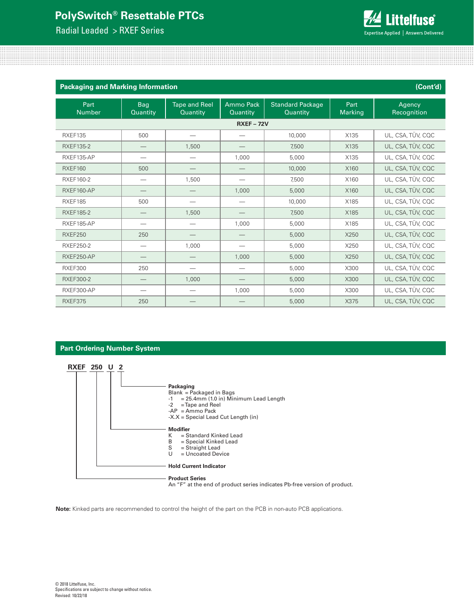Radial Leaded > RXEF Series



| <b>Packaging and Marking Information</b> |                        |                                  |                       |                                     |                 | (Cont'd)              |
|------------------------------------------|------------------------|----------------------------------|-----------------------|-------------------------------------|-----------------|-----------------------|
| Part<br><b>Number</b>                    | <b>Bag</b><br>Quantity | <b>Tape and Reel</b><br>Quantity | Ammo Pack<br>Quantity | <b>Standard Package</b><br>Quantity | Part<br>Marking | Agency<br>Recognition |
|                                          |                        |                                  | <b>RXEF-72V</b>       |                                     |                 |                       |
| RXEF135                                  | 500                    |                                  |                       | 10,000                              | X135            | UL, CSA, TÜV, CQC     |
| <b>RXEF135-2</b>                         |                        | 1,500                            |                       | 7,500                               | X135            | UL, CSA, TÜV, CQC     |
| RXEF135-AP                               |                        | -                                | 1,000                 | 5,000                               | X135            | UL, CSA, TÜV, CQC     |
| <b>RXEF160</b>                           | 500                    | –                                |                       | 10,000                              | X160            | UL, CSA, TÜV, CQC     |
| <b>RXEF160-2</b>                         |                        | 1,500                            |                       | 7,500                               | X160            | UL, CSA, TÜV, CQC     |
| RXEF160-AP                               |                        |                                  | 1,000                 | 5,000                               | X160            | UL, CSA, TÜV, CQC     |
| RXEF185                                  | 500                    |                                  |                       | 10,000                              | X185            | UL, CSA, TÜV, CQC     |
| <b>RXEF185-2</b>                         | $\qquad \qquad -$      | 1,500                            |                       | 7,500                               | X185            | UL, CSA, TÜV, CQC     |
| RXEF185-AP                               |                        | $\hspace{0.05cm}$                | 1,000                 | 5,000                               | X185            | UL, CSA, TÜV, CQC     |
| <b>RXEF250</b>                           | 250                    | --                               |                       | 5,000                               | X250            | UL, CSA, TÜV, CQC     |
| RXEF250-2                                |                        | 1,000                            |                       | 5,000                               | X250            | UL, CSA, TÜV, CQC     |
| RXEF250-AP                               |                        | —                                | 1,000                 | 5,000                               | X250            | UL, CSA, TÜV, CQC     |
| <b>RXEF300</b>                           | 250                    |                                  |                       | 5,000                               | X300            | UL, CSA, TÜV, CQC     |
| <b>RXEF300-2</b>                         |                        | 1,000                            |                       | 5,000                               | X300            | UL, CSA, TÜV, CQC     |
| RXEF300-AP                               |                        | $\overbrace{\qquad \qquad }^{}$  | 1,000                 | 5,000                               | X300            | UL, CSA, TÜV, CQC     |
| RXEF375                                  | 250                    |                                  |                       | 5,000                               | X375            | UL, CSA, TÜV, CQC     |

#### **Part Ordering Number System**



An "F" at the end of product series indicates Pb-free version of product.

**Note:** Kinked parts are recommended to control the height of the part on the PCB in non-auto PCB applications.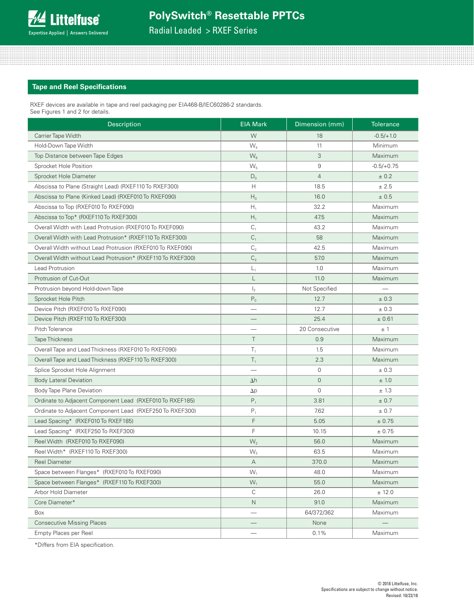Radial Leaded > RXEF Series

#### **Tape and Reel Specifications**

RXEF devices are available in tape and reel packaging per EIA468-B/IEC60286-2 standards. See Figures 1 and 2 for details.

| Description                                                 | <b>EIA Mark</b> | Dimension (mm)      | <b>Tolerance</b> |
|-------------------------------------------------------------|-----------------|---------------------|------------------|
| Carrier Tape Width                                          | W               | 18                  | $-0.5/+1.0$      |
| Hold-Down Tape Width                                        | $W_{4}$         | 11                  | Minimum          |
| Top Distance between Tape Edges                             | $W_6$           | 3                   | Maximum          |
| Sprocket Hole Position                                      | $W_{5}$         | 9                   | $-0.5/+0.75$     |
| Sprocket Hole Diameter                                      | $D_0$           | $\overline{4}$      | ± 0.2            |
| Abscissa to Plane (Straight Lead) (RXEF110 To RXEF300)      | H               | 18.5                | ± 2.5            |
| Abscissa to Plane (Kinked Lead) (RXEF010 To RXEF090)        | $\mathsf{H}_0$  | 16.0                | ± 0.5            |
| Abscissa to Top (RXEF010 To RXEF090)                        | $H_{1}$         | 32.2                | Maximum          |
| Abscissa to Top* (RXEF110 To RXEF300)                       | $H_1$           | 47.5                | Maximum          |
| Overall Width with Lead Protrusion (RXEF010 To RXEF090)     | C <sub>1</sub>  | 43.2                | Maximum          |
| Overall Width with Lead Protrusion* (RXEF110 To RXEF300)    | $C_1$           | 58                  | Maximum          |
| Overall Width without Lead Protrusion (RXEF010 To RXEF090)  | $\mathsf{C}_2$  | 42.5                | Maximum          |
| Overall Width without Lead Protrusion* (RXEF110 To RXEF300) | C <sub>2</sub>  | 57.0                | Maximum          |
| Lead Protrusion                                             | $L_1$           | 1.0                 | Maximum          |
| Protrusion of Cut-Out                                       | L               | 11.0                | Maximum          |
| Protrusion beyond Hold-down Tape                            | $\mathsf{I}_2$  | Not Specified       |                  |
| Sprocket Hole Pitch                                         | $P_0$           | 12.7                | ± 0.3            |
| Device Pitch (RXEF010 To RXEF090)                           |                 | 12.7                | ± 0.3            |
| Device Pitch (RXEF110 To RXEF300)                           |                 | 25.4                | ± 0.61           |
| Pitch Tolerance                                             |                 | 20 Consecutive      | ±1               |
| <b>Tape Thickness</b>                                       | $\top$          | 0.9                 | Maximum          |
| Overall Tape and Lead Thickness (RXEF010 To RXEF090)        | $T_1$           | 1.5                 | Maximum          |
| Overall Tape and Lead Thickness (RXEF110 To RXEF300)        | $T_1$           | 2.3                 | Maximum          |
| Splice Sprocket Hole Alignment                              |                 | $\mathsf{O}\xspace$ | ± 0.3            |
| <b>Body Lateral Deviation</b>                               | $\Delta h$      | $\mathbf 0$         | ± 1.0            |
| Body Tape Plane Deviation                                   | $\Delta p$      | $\mathbf 0$         | ± 1.3            |
| Ordinate to Adjacent Component Lead (RXEF010 To RXEF185)    | $P_1$           | 3.81                | ± 0.7            |
| Ordinate to Adjacent Component Lead (RXEF250 To RXEF300)    | $P_1$           | 7.62                | ± 0.7            |
| Lead Spacing* (RXEF010 To RXEF185)                          | F               | 5.05                | ± 0.75           |
| Lead Spacing* (RXEF250 To RXEF300)                          | F               | 10.15               | ± 0.75           |
| Reel Width (RXEF010 To RXEF090)                             | W <sub>2</sub>  | 56.0                | Maximum          |
| Reel Width* (RXEF110 To RXEF300)                            | W <sub>2</sub>  | 63.5                | Maximum          |
| <b>Reel Diameter</b>                                        | А               | 370.0               | Maximum          |
| Space between Flanges* (RXEF010 To RXEF090)                 | $W_1$           | 48.0                | Maximum          |
| Space between Flanges* (RXEF110 To RXEF300)                 | $W_1$           | 55.0                | Maximum          |
| Arbor Hold Diameter                                         | $\mathsf C$     | 26.0                | ± 12.0           |
| Core Diameter*                                              | $\mathsf{N}$    | 91.0                | Maximum          |
| Box                                                         |                 | 64/372/362          | Maximum          |
| <b>Consecutive Missing Places</b>                           |                 | None                |                  |
| Empty Places per Reel                                       |                 | 0.1%                | Maximum          |

\*Differs from EIA specification.